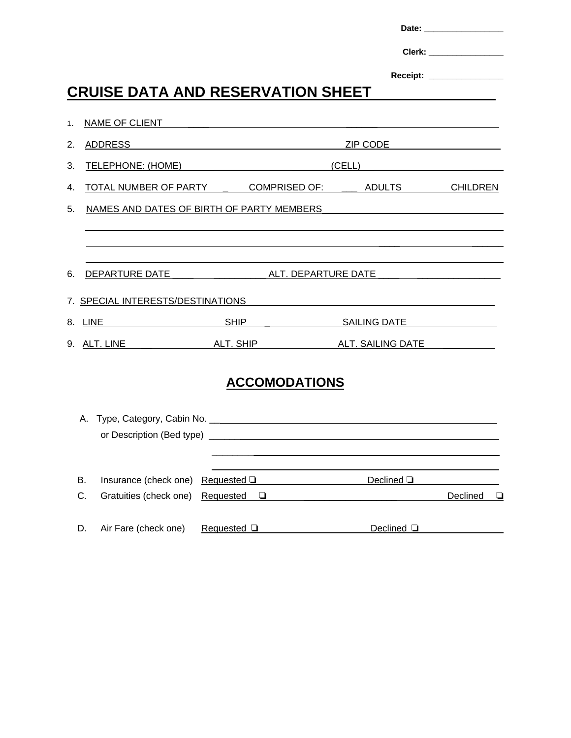|    |                                                     |                                                      |                                                                                                                      |                                                                                                                                                                                                                                | Clerk: <b>Clerk</b> (2001) |  |
|----|-----------------------------------------------------|------------------------------------------------------|----------------------------------------------------------------------------------------------------------------------|--------------------------------------------------------------------------------------------------------------------------------------------------------------------------------------------------------------------------------|----------------------------|--|
|    |                                                     |                                                      |                                                                                                                      |                                                                                                                                                                                                                                | Receipt: _______________   |  |
|    | <b>CRUISE DATA AND RESERVATION SHEET</b>            |                                                      |                                                                                                                      |                                                                                                                                                                                                                                |                            |  |
| 1. | NAME OF CLIENT <b>Annual Community of CLIENT</b>    |                                                      |                                                                                                                      |                                                                                                                                                                                                                                |                            |  |
| 2. | ADDRESS                                             | <u> 1980 - Johann Barn, fransk politik (d. 1980)</u> |                                                                                                                      | ZIP CODE And the state of the state of the state of the state of the state of the state of the state of the state of the state of the state of the state of the state of the state of the state of the state of the state of t |                            |  |
| 3. |                                                     |                                                      |                                                                                                                      |                                                                                                                                                                                                                                |                            |  |
| 4. | TOTAL NUMBER OF PARTY COMPRISED OF: ADULTS CHILDREN |                                                      |                                                                                                                      |                                                                                                                                                                                                                                |                            |  |
| 5. | NAMES AND DATES OF BIRTH OF PARTY MEMBERS           |                                                      |                                                                                                                      |                                                                                                                                                                                                                                |                            |  |
|    |                                                     |                                                      |                                                                                                                      |                                                                                                                                                                                                                                |                            |  |
|    |                                                     |                                                      |                                                                                                                      |                                                                                                                                                                                                                                |                            |  |
| 6. |                                                     |                                                      |                                                                                                                      |                                                                                                                                                                                                                                |                            |  |
|    | 7. SPECIAL INTERESTS/DESTINATIONS                   |                                                      | <u> 1940 - Jan James James James James James James James James James James James James James James James James J</u> |                                                                                                                                                                                                                                |                            |  |
|    |                                                     |                                                      |                                                                                                                      |                                                                                                                                                                                                                                |                            |  |
|    |                                                     |                                                      |                                                                                                                      |                                                                                                                                                                                                                                |                            |  |
|    |                                                     |                                                      |                                                                                                                      |                                                                                                                                                                                                                                |                            |  |
|    |                                                     | <b>ACCOMODATIONS</b>                                 |                                                                                                                      |                                                                                                                                                                                                                                |                            |  |
|    |                                                     |                                                      |                                                                                                                      |                                                                                                                                                                                                                                |                            |  |
|    |                                                     |                                                      |                                                                                                                      |                                                                                                                                                                                                                                |                            |  |
|    |                                                     |                                                      |                                                                                                                      |                                                                                                                                                                                                                                |                            |  |
| B. | Insurance (check one)                               | Requested $\Box$                                     |                                                                                                                      | Declined $\square$                                                                                                                                                                                                             |                            |  |
| C. | Gratuities (check one)                              | Requested<br>$\Box$                                  |                                                                                                                      |                                                                                                                                                                                                                                | Declined                   |  |
|    |                                                     |                                                      |                                                                                                                      |                                                                                                                                                                                                                                |                            |  |